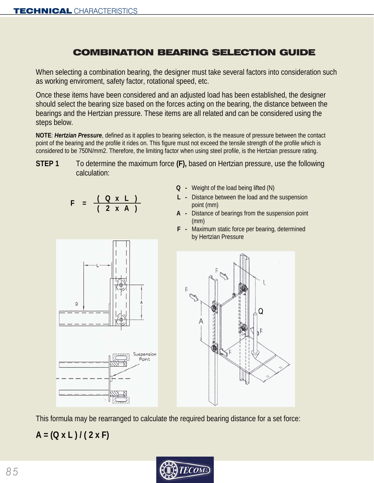## COMBINATION BEARING SELECTION GUIDE

When selecting a combination bearing, the designer must take several factors into consideration such as working enviroment, safety factor, rotational speed, etc.

Once these items have been considered and an adjusted load has been established, the designer should select the bearing size based on the forces acting on the bearing, the distance between the bearings and the Hertzian pressure. These items are all related and can be considered using the steps below.

**NOTE**: *Hertzian Pressure*, defined as it applies to bearing selection, is the measure of pressure between the contact point of the bearing and the profile it rides on. This figure must not exceed the tensile strength of the profile which is considered to be 750N/mm2. Therefore, the limiting factor when using steel profile, is the Hertzian pressure rating.

**STEP 1** To determine the maximum force **(F),** based on Hertzian pressure, use the following calculation:

$$
F = \frac{(Q \times L)}{(2 \times A)}
$$

- **Q** Weight of the load being lifted (N)
- **L** Distance between the load and the suspension point (mm)
- **A** Distance of bearings from the suspension point (mm)
- **F** Maximum static force per bearing, determined by Hertzian Pressure





This formula may be rearranged to calculate the required bearing distance for a set force:

$$
A = (Q \times L) / (2 \times F)
$$